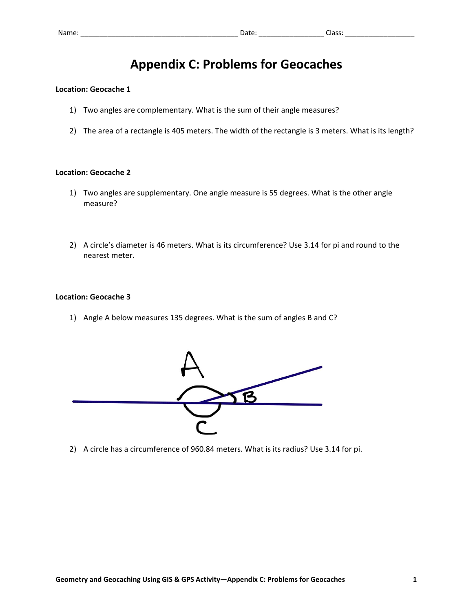# **Appendix C: Problems for Geocaches**

### **Location: Geocache 1**

- 1) Two angles are complementary. What is the sum of their angle measures?
- 2) The area of a rectangle is 405 meters. The width of the rectangle is 3 meters. What is its length?

#### **Location: Geocache 2**

- 1) Two angles are supplementary. One angle measure is 55 degrees. What is the other angle measure?
- 2) A circle's diameter is 46 meters. What is its circumference? Use 3.14 for pi and round to the nearest meter.

#### **Location: Geocache 3**

1) Angle A below measures 135 degrees. What is the sum of angles B and C?



2) A circle has a circumference of 960.84 meters. What is its radius? Use 3.14 for pi.